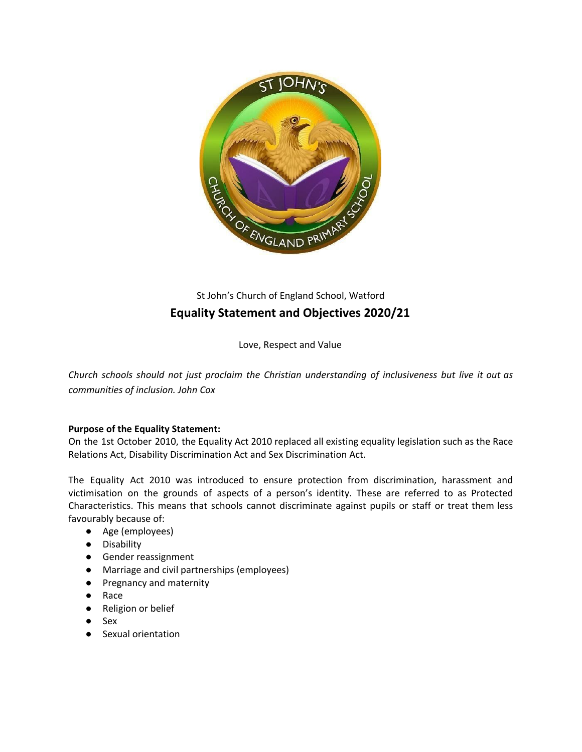

# St John's Church of England School, Watford **Equality Statement and Objectives 2020/21**

Love, Respect and Value

*Church schools should not just proclaim the Christian understanding of inclusiveness but live it out as communities of inclusion. John Cox*

## **Purpose of the Equality Statement:**

On the 1st October 2010, the Equality Act 2010 replaced all existing equality legislation such as the Race Relations Act, Disability Discrimination Act and Sex Discrimination Act.

The Equality Act 2010 was introduced to ensure protection from discrimination, harassment and victimisation on the grounds of aspects of a person's identity. These are referred to as Protected Characteristics. This means that schools cannot discriminate against pupils or staff or treat them less favourably because of:

- Age (employees)
- Disability
- Gender reassignment
- Marriage and civil partnerships (employees)
- Pregnancy and maternity
- Race
- Religion or belief
- Sex
- Sexual orientation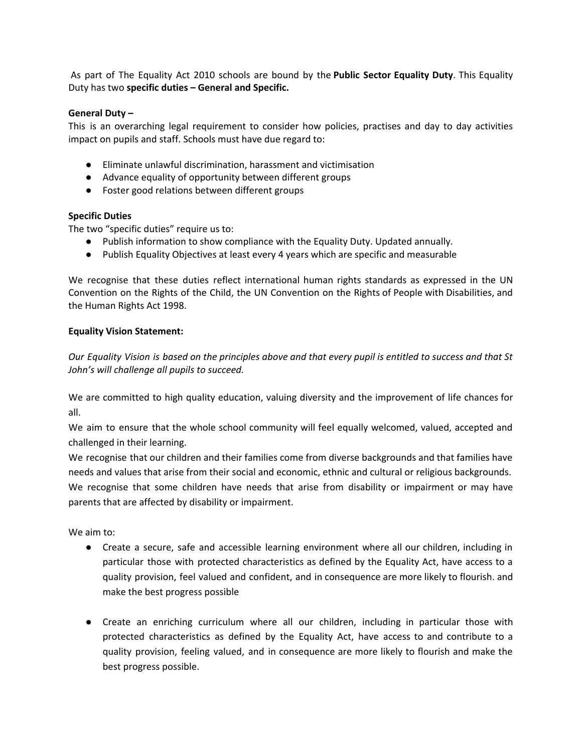As part of The Equality Act 2010 schools are bound by the **Public Sector Equality Duty**. This Equality Duty has two **specific duties – General and Specific.**

#### **General Duty –**

This is an overarching legal requirement to consider how policies, practises and day to day activities impact on pupils and staff. Schools must have due regard to:

- Eliminate unlawful discrimination, harassment and victimisation
- Advance equality of opportunity between different groups
- Foster good relations between different groups

#### **Specific Duties**

The two "specific duties" require us to:

- Publish information to show compliance with the Equality Duty. Updated annually.
- Publish Equality Objectives at least every 4 years which are specific and measurable

We recognise that these duties reflect international human rights standards as expressed in the UN Convention on the Rights of the Child, the UN Convention on the Rights of People with Disabilities, and the Human Rights Act 1998.

#### **Equality Vision Statement:**

Our Equality Vision is based on the principles above and that every pupil is entitled to success and that St *John's will challenge all pupils to succeed.*

We are committed to high quality education, valuing diversity and the improvement of life chances for all.

We aim to ensure that the whole school community will feel equally welcomed, valued, accepted and challenged in their learning.

We recognise that our children and their families come from diverse backgrounds and that families have needs and values that arise from their social and economic, ethnic and cultural or religious backgrounds. We recognise that some children have needs that arise from disability or impairment or may have parents that are affected by disability or impairment.

We aim to:

- Create a secure, safe and accessible learning environment where all our children, including in particular those with protected characteristics as defined by the Equality Act, have access to a quality provision, feel valued and confident, and in consequence are more likely to flourish. and make the best progress possible
- Create an enriching curriculum where all our children, including in particular those with protected characteristics as defined by the Equality Act, have access to and contribute to a quality provision, feeling valued, and in consequence are more likely to flourish and make the best progress possible.